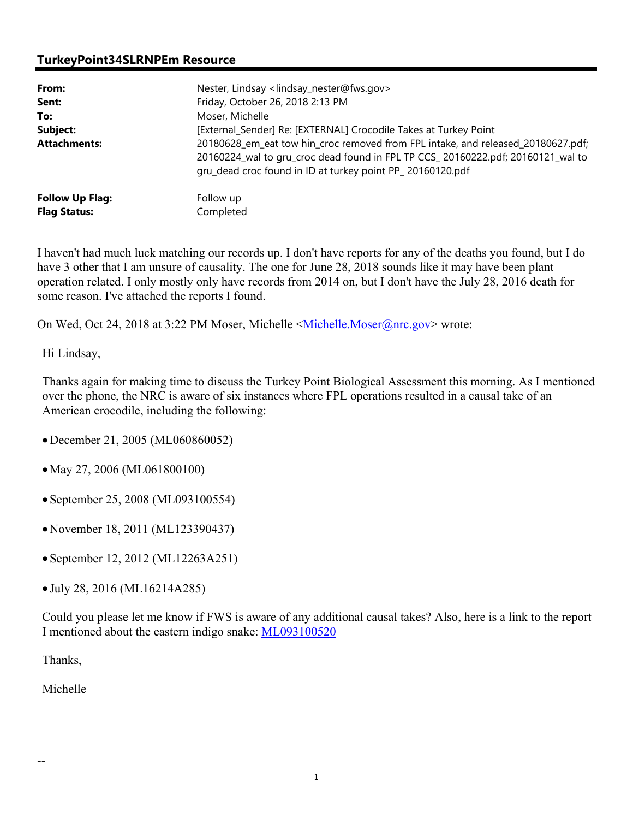### **TurkeyPoint34SLRNPEm Resource**

| From:                  | Nester, Lindsay <lindsay_nester@fws.gov></lindsay_nester@fws.gov>                                                                                                                                                                |  |
|------------------------|----------------------------------------------------------------------------------------------------------------------------------------------------------------------------------------------------------------------------------|--|
| Sent:                  | Friday, October 26, 2018 2:13 PM                                                                                                                                                                                                 |  |
| To:                    | Moser, Michelle                                                                                                                                                                                                                  |  |
| Subject:               | [External_Sender] Re: [EXTERNAL] Crocodile Takes at Turkey Point                                                                                                                                                                 |  |
| <b>Attachments:</b>    | 20180628_em_eat tow hin_croc removed from FPL intake, and released_20180627.pdf;<br>20160224_wal to gru_croc dead found in FPL TP CCS_20160222.pdf; 20160121_wal to<br>gru_dead croc found in ID at turkey point PP_20160120.pdf |  |
| <b>Follow Up Flag:</b> | Follow up                                                                                                                                                                                                                        |  |
| <b>Flag Status:</b>    | Completed                                                                                                                                                                                                                        |  |

I haven't had much luck matching our records up. I don't have reports for any of the deaths you found, but I do have 3 other that I am unsure of causality. The one for June 28, 2018 sounds like it may have been plant operation related. I only mostly only have records from 2014 on, but I don't have the July 28, 2016 death for some reason. I've attached the reports I found.

On Wed, Oct 24, 2018 at 3:22 PM Moser, Michelle <Michelle.Moser@nrc.gov> wrote:

Hi Lindsay,

Thanks again for making time to discuss the Turkey Point Biological Assessment this morning. As I mentioned over the phone, the NRC is aware of six instances where FPL operations resulted in a causal take of an American crocodile, including the following:

- December 21, 2005 (ML060860052)
- May 27, 2006 (ML061800100)
- September 25, 2008 (ML093100554)
- November 18, 2011 (ML123390437)
- September 12, 2012 (ML12263A251)
- July 28, 2016 (ML16214A285)

Could you please let me know if FWS is aware of any additional causal takes? Also, here is a link to the report I mentioned about the eastern indigo snake: ML093100520

Thanks,

Michelle

--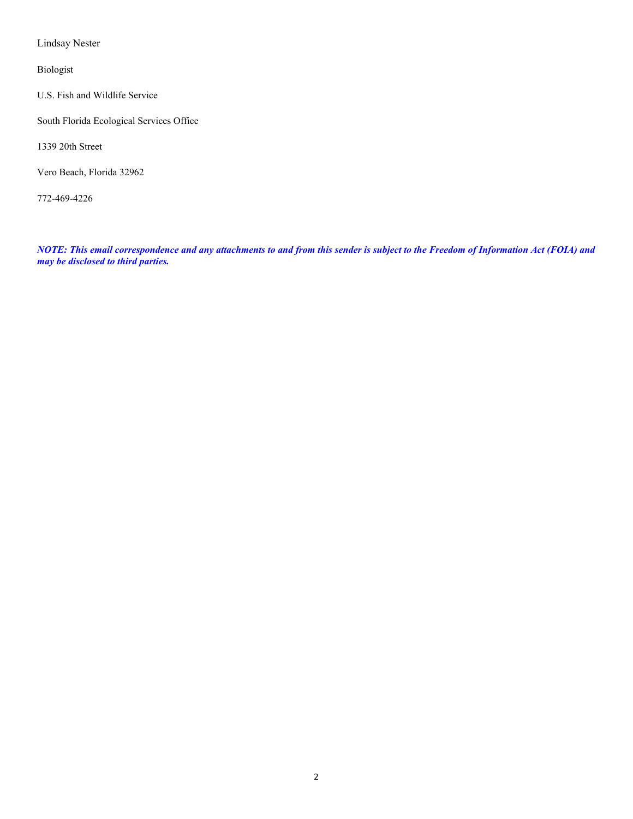Lindsay Nester

Biologist

U.S. Fish and Wildlife Service

South Florida Ecological Services Office

1339 20th Street

Vero Beach, Florida 32962

772-469-4226

*NOTE: This email correspondence and any attachments to and from this sender is subject to the Freedom of Information Act (FOIA) and may be disclosed to third parties.*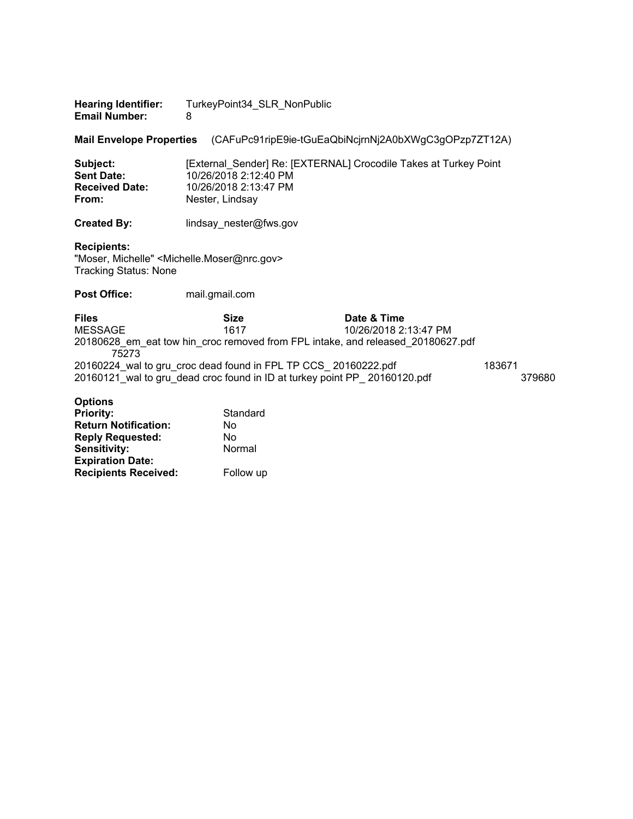| <b>Hearing Identifier:</b> | TurkeyPoint34_SLR_NonPublic |
|----------------------------|-----------------------------|
| <b>Email Number:</b>       |                             |

**Mail Envelope Properties** (CAFuPc91ripE9ie-tGuEaQbiNcjrnNj2A0bXWgC3gOPzp7ZT12A)

| Subject:              | [External Sender] Re: [EXTERNAL] Crocodile Takes at Turkey Point |
|-----------------------|------------------------------------------------------------------|
| <b>Sent Date:</b>     | 10/26/2018 2:12:40 PM                                            |
| <b>Received Date:</b> | 10/26/2018 2:13:47 PM                                            |
| From:                 | Nester, Lindsav                                                  |
|                       |                                                                  |

**Created By: lindsay** nester@fws.gov

#### **Recipients:**

"Moser, Michelle" <Michelle.Moser@nrc.gov> Tracking Status: None

**Post Office:** mail.gmail.com

**Files Size Date & Time**<br>MESSAGE 1617 10/26/2018 2: 10/26/2018 2:13:47 PM 20180628\_em\_eat tow hin\_croc removed from FPL intake, and released\_20180627.pdf 75273 20160224\_wal to gru\_croc dead found in FPL TP CCS\_ 20160222.pdf 183671 20160121\_wal to gru\_dead croc found in ID at turkey point PP\_ 20160120.pdf 379680

#### **Options**

| <b>Priority:</b>            | Standard  |
|-----------------------------|-----------|
| <b>Return Notification:</b> | No        |
| <b>Reply Requested:</b>     | No        |
| <b>Sensitivity:</b>         | Normal    |
| <b>Expiration Date:</b>     |           |
| <b>Recipients Received:</b> | Follow up |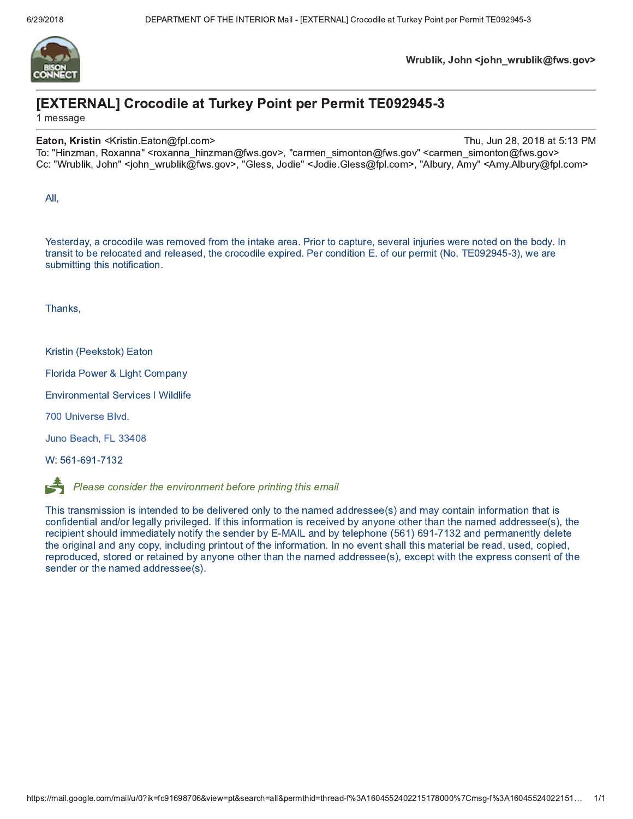

### [EXTERNAL] Crocodile at Turkey Point per Permit TE092945-3

1 message

#### Eaton, Kristin <Kristin.Eaton@fpl.com>

Thu, Jun 28, 2018 at 5:13 PM

To: "Hinzman, Roxanna" <roxanna hinzman@fws.gov>, "carmen simonton@fws.gov" <carmen simonton@fws.gov> Cc: "Wrublik, John" <john wrublik@fws.gov>, "Gless, Jodie" <Jodie.Gless@fpl.com>, "Albury, Amy" <Amy.Albury@fpl.com>

All,

Yesterday, a crocodile was removed from the intake area. Prior to capture, several injuries were noted on the body. In transit to be relocated and released, the crocodile expired. Per condition E. of our permit (No. TE092945-3), we are submitting this notification.

Thanks,

Kristin (Peekstok) Eaton

Florida Power & Light Company

**Environmental Services | Wildlife** 

700 Universe Blvd.

Juno Beach, FL 33408

W: 561-691-7132



Please consider the environment before printing this email

This transmission is intended to be delivered only to the named addressee(s) and may contain information that is confidential and/or legally privileged. If this information is received by anyone other than the named addressee(s), the recipient should immediately notify the sender by E-MAIL and by telephone (561) 691-7132 and permanently delete the original and any copy, including printout of the information. In no event shall this material be read, used, copied, reproduced, stored or retained by anyone other than the named addressee(s), except with the express consent of the sender or the named addressee(s).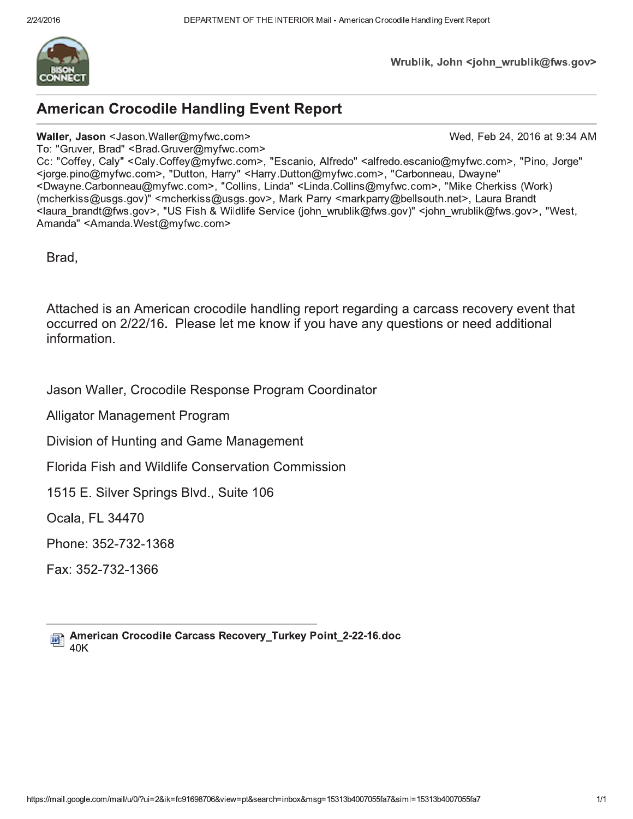

Wrublik, John <john wrublik@fws.gov>

## **American Crocodile Handling Event Report**

#### Waller, Jason <Jason Waller@myfwc.com>

Wed, Feb 24, 2016 at 9:34 AM

To: "Gruver, Brad" < Brad. Gruver@myfwc.com> Cc: "Coffey, Caly" <Caly.Coffey@myfwc.com>, "Escanio, Alfredo" <alfredo.escanio@myfwc.com>, "Pino, Jorge" <jorge.pino@myfwc.com>, "Dutton, Harry" <Harry.Dutton@myfwc.com>, "Carbonneau, Dwayne" <Dwayne Carbonneau@myfwc.com>, "Collins, Linda" <Linda Collins@myfwc.com>, "Mike Cherkiss (Work) (mcherkiss@usgs.gov)" <mcherkiss@usgs.gov>, Mark Parry <markparry@bellsouth.net>, Laura Brandt <laura brandt@fws.gov>, "US Fish & Wildlife Service (john wrublik@fws.gov)" <john wrublik@fws.gov>, "West, Amanda" <Amanda.West@mvfwc.com>

Brad,

Attached is an American crocodile handling report regarding a carcass recovery event that occurred on 2/22/16. Please let me know if you have any questions or need additional information.

Jason Waller, Crocodile Response Program Coordinator

**Alligator Management Program** 

Division of Hunting and Game Management

**Florida Fish and Wildlife Conservation Commission** 

1515 E. Silver Springs Blvd., Suite 106

Ocala, FL 34470

Phone: 352-732-1368

Fax: 352-732-1366

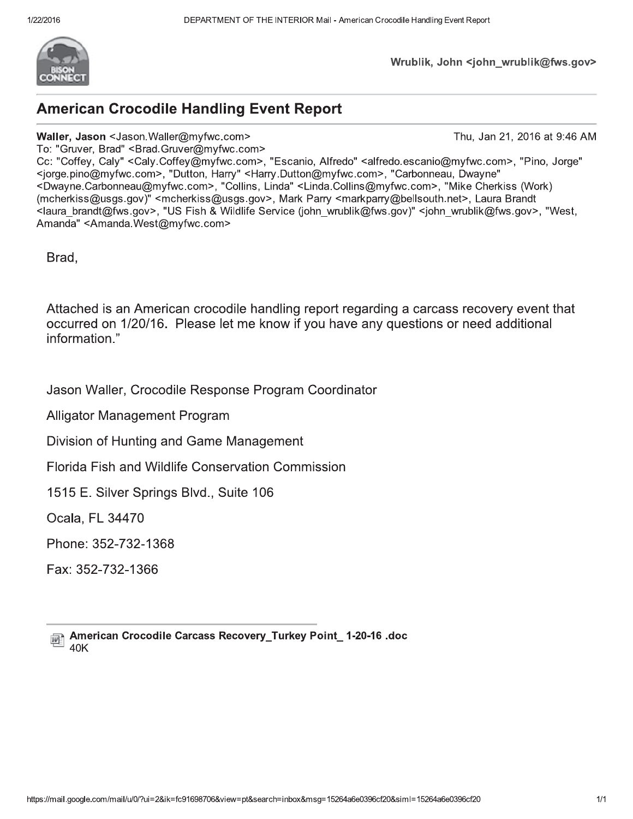

Wrublik, John <john wrublik@fws.gov>

# **American Crocodile Handling Event Report**

### Waller, Jason <Jason Waller@myfwc.com>

Thu, Jan 21, 2016 at 9:46 AM

To: "Gruver, Brad" < Brad. Gruver@myfwc.com> Cc: "Coffey, Caly" <Caly.Coffey@myfwc.com>, "Escanio, Alfredo" <alfredo.escanio@myfwc.com>, "Pino, Jorge" <jorge.pino@myfwc.com>, "Dutton, Harry" <Harry.Dutton@myfwc.com>, "Carbonneau, Dwayne" <Dwayne Carbonneau@myfwc.com>, "Collins, Linda" <Linda Collins@myfwc.com>, "Mike Cherkiss (Work) (mcherkiss@usgs.gov)" <mcherkiss@usgs.gov>, Mark Parry <markparry@bellsouth.net>, Laura Brandt <laura brandt@fws.gov>, "US Fish & Wildlife Service (john wrublik@fws.gov)" <john wrublik@fws.gov>, "West, Amanda" <Amanda.West@mvfwc.com>

Brad,

Attached is an American crocodile handling report regarding a carcass recovery event that occurred on 1/20/16. Please let me know if you have any questions or need additional information."

Jason Waller, Crocodile Response Program Coordinator

**Alligator Management Program** 

Division of Hunting and Game Management

**Florida Fish and Wildlife Conservation Commission** 

1515 E. Silver Springs Blvd., Suite 106

Ocala, FL 34470

Phone: 352-732-1368

Fax: 352-732-1366

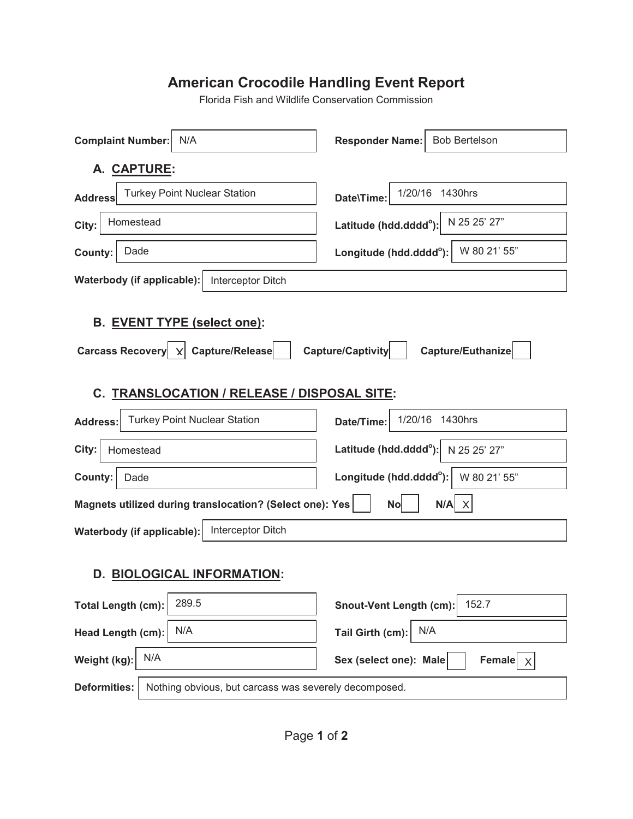# **American Crocodile Handling Event Report**

Florida Fish and Wildlife Conservation Commission

| <b>Complaint Number:</b><br>N/A                                                         | <b>Responder Name:</b><br><b>Bob Bertelson</b>        |  |  |  |
|-----------------------------------------------------------------------------------------|-------------------------------------------------------|--|--|--|
| A. CAPTURE:                                                                             |                                                       |  |  |  |
| <b>Turkey Point Nuclear Station</b><br><b>Address</b>                                   | 1/20/16 1430hrs<br>Date\Time:                         |  |  |  |
| Homestead<br>City:                                                                      | N 25 25' 27"<br>Latitude (hdd.dddd <sup>o</sup> ):    |  |  |  |
| Dade<br>County:                                                                         | W 80 21' 55"<br>Longitude (hdd.dddd <sup>o</sup> ):   |  |  |  |
| Waterbody (if applicable):<br>Interceptor Ditch                                         |                                                       |  |  |  |
| B. EVENT TYPE (select one):                                                             |                                                       |  |  |  |
| Carcass Recovery   X Capture/Release<br>Capture/Captivity<br>Capture/Euthanize          |                                                       |  |  |  |
| C. TRANSLOCATION / RELEASE / DISPOSAL SITE:                                             |                                                       |  |  |  |
| <b>Turkey Point Nuclear Station</b><br><b>Address:</b>                                  | 1/20/16<br>1430hrs<br>Date/Time:                      |  |  |  |
| City:<br>Homestead                                                                      | Latitude (hdd.dddd <sup>o</sup> ):<br>N 25 25' 27"    |  |  |  |
| <b>County:</b><br>Dade                                                                  | Longitude (hdd.dddd <sup>o</sup> ):<br>W 80 21' 55"   |  |  |  |
| Magnets utilized during translocation? (Select one): Yes<br><b>No</b><br>$N/A$ $\times$ |                                                       |  |  |  |
| Interceptor Ditch<br>Waterbody (if applicable):                                         |                                                       |  |  |  |
| D. BIOLOGICAL INFORMATION:                                                              |                                                       |  |  |  |
| 289.5<br><b>Total Length (cm):</b>                                                      | 152.7<br><b>Snout-Vent Length (cm):</b>               |  |  |  |
| N/A<br>Head Length (cm):                                                                | N/A<br>Tail Girth (cm):                               |  |  |  |
| N/A<br>Weight (kg):                                                                     | Sex (select one): Male<br>Female $ \chi $             |  |  |  |
| <b>Deformities:</b>                                                                     | Nothing obvious, but carcass was severely decomposed. |  |  |  |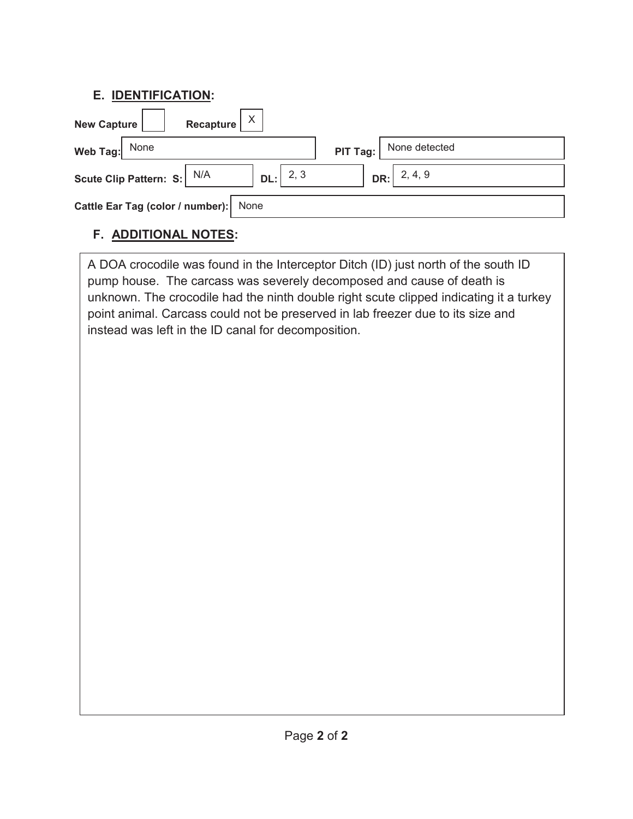## **E. IDENTIFICATION:**

| Recapture<br><b>New Capture</b>           |                           |  |  |  |  |
|-------------------------------------------|---------------------------|--|--|--|--|
| None<br>Web Tag:                          | None detected<br>PIT Tag: |  |  |  |  |
| 2, 3<br>Scute Clip Pattern: S: N/A<br>DL: | DR: 2, 4, 9               |  |  |  |  |
| Cattle Ear Tag (color / number):<br>None  |                           |  |  |  |  |

## **F. ADDITIONAL NOTES:**

A DOA crocodile was found in the Interceptor Ditch (ID) just north of the south ID pump house. The carcass was severely decomposed and cause of death is unknown. The crocodile had the ninth double right scute clipped indicating it a turkey point animal. Carcass could not be preserved in lab freezer due to its size and instead was left in the ID canal for decomposition.